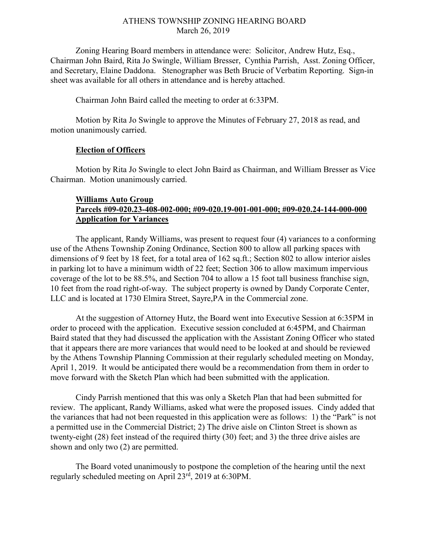## ATHENS TOWNSHIP ZONING HEARING BOARD March 26, 2019

Zoning Hearing Board members in attendance were: Solicitor, Andrew Hutz, Esq., Chairman John Baird, Rita Jo Swingle, William Bresser, Cynthia Parrish, Asst. Zoning Officer, and Secretary, Elaine Daddona. Stenographer was Beth Brucie of Verbatim Reporting. Sign-in sheet was available for all others in attendance and is hereby attached.

Chairman John Baird called the meeting to order at 6:33PM.

Motion by Rita Jo Swingle to approve the Minutes of February 27, 2018 as read, and motion unanimously carried.

## Election of Officers

Motion by Rita Jo Swingle to elect John Baird as Chairman, and William Bresser as Vice Chairman. Motion unanimously carried.

## Williams Auto Group Parcels #09-020.23-408-002-000; #09-020.19-001-001-000; #09-020.24-144-000-000 Application for Variances

 The applicant, Randy Williams, was present to request four (4) variances to a conforming use of the Athens Township Zoning Ordinance, Section 800 to allow all parking spaces with dimensions of 9 feet by 18 feet, for a total area of 162 sq.ft.; Section 802 to allow interior aisles in parking lot to have a minimum width of 22 feet; Section 306 to allow maximum impervious coverage of the lot to be 88.5%, and Section 704 to allow a 15 foot tall business franchise sign, 10 feet from the road right-of-way. The subject property is owned by Dandy Corporate Center, LLC and is located at 1730 Elmira Street, Sayre,PA in the Commercial zone.

 At the suggestion of Attorney Hutz, the Board went into Executive Session at 6:35PM in order to proceed with the application. Executive session concluded at 6:45PM, and Chairman Baird stated that they had discussed the application with the Assistant Zoning Officer who stated that it appears there are more variances that would need to be looked at and should be reviewed by the Athens Township Planning Commission at their regularly scheduled meeting on Monday, April 1, 2019. It would be anticipated there would be a recommendation from them in order to move forward with the Sketch Plan which had been submitted with the application.

 Cindy Parrish mentioned that this was only a Sketch Plan that had been submitted for review. The applicant, Randy Williams, asked what were the proposed issues. Cindy added that the variances that had not been requested in this application were as follows: 1) the "Park" is not a permitted use in the Commercial District; 2) The drive aisle on Clinton Street is shown as twenty-eight (28) feet instead of the required thirty (30) feet; and 3) the three drive aisles are shown and only two  $(2)$  are permitted.

 The Board voted unanimously to postpone the completion of the hearing until the next regularly scheduled meeting on April 23rd, 2019 at 6:30PM.